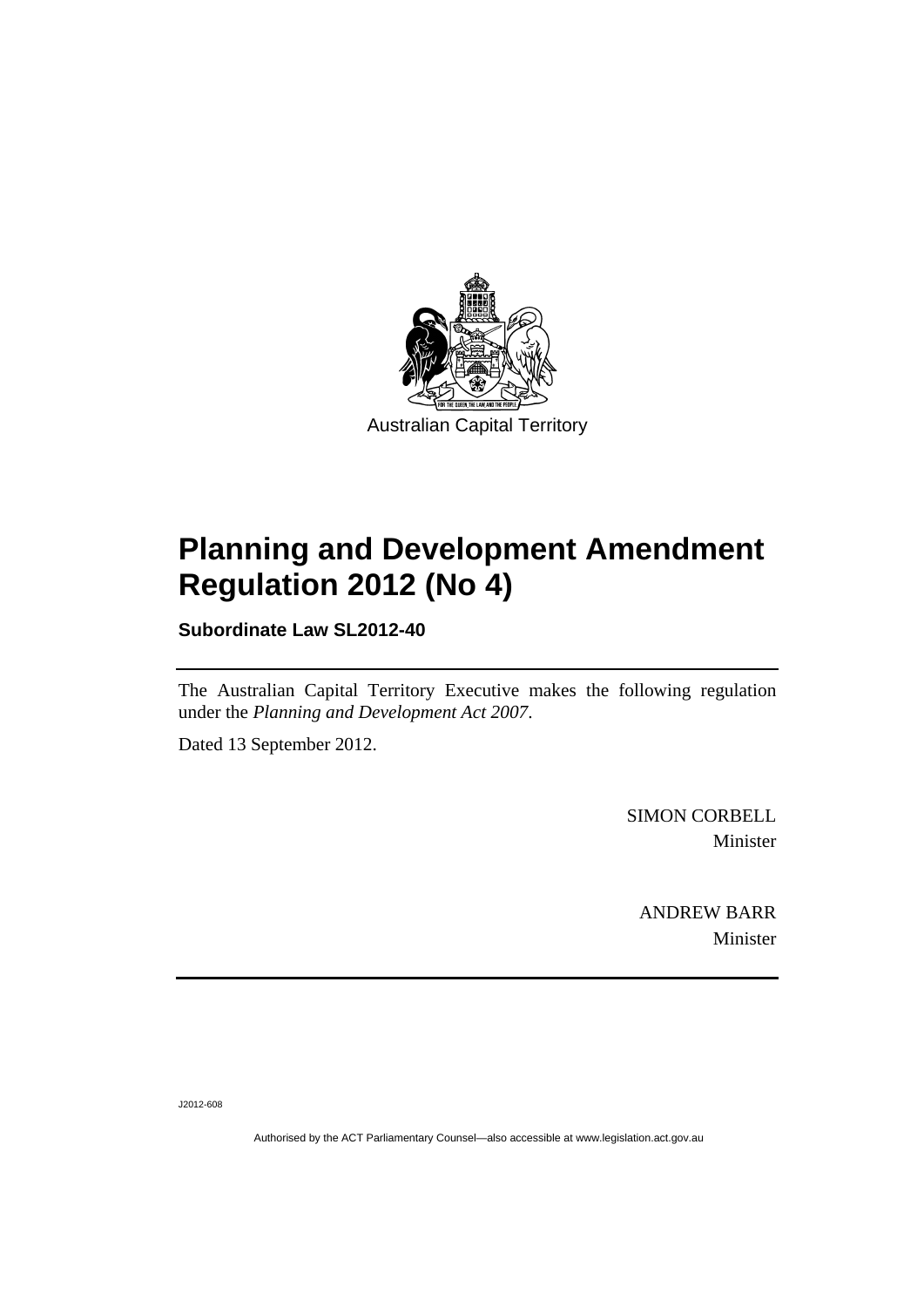

# **Planning and Development Amendment Regulation 2012 (No 4)**

**Subordinate Law SL2012-40** 

The Australian Capital Territory Executive makes the following regulation under the *Planning and Development Act 2007*.

Dated 13 September 2012.

SIMON CORBELL Minister

ANDREW BARR Minister

J2012-608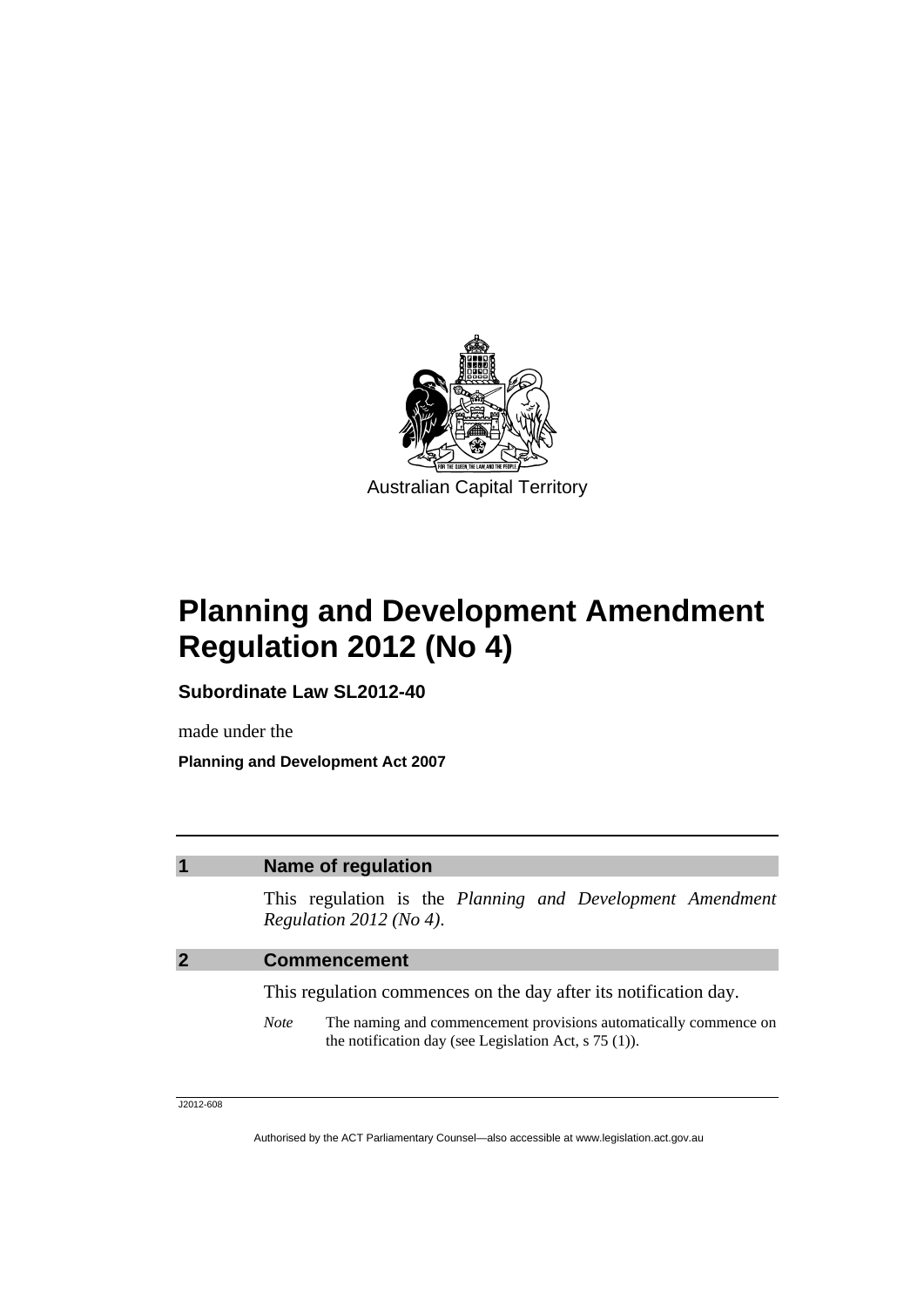

## **Planning and Development Amendment Regulation 2012 (No 4)**

**Subordinate Law SL2012-40** 

made under the **Planning and Development Act 2007** 

#### **1 Name of regulation**

This regulation is the *Planning and Development Amendment Regulation 2012 (No 4)*.

#### **2 Commencement**

This regulation commences on the day after its notification day.

*Note* The naming and commencement provisions automatically commence on the notification day (see Legislation Act, s 75 (1)).

J2012-608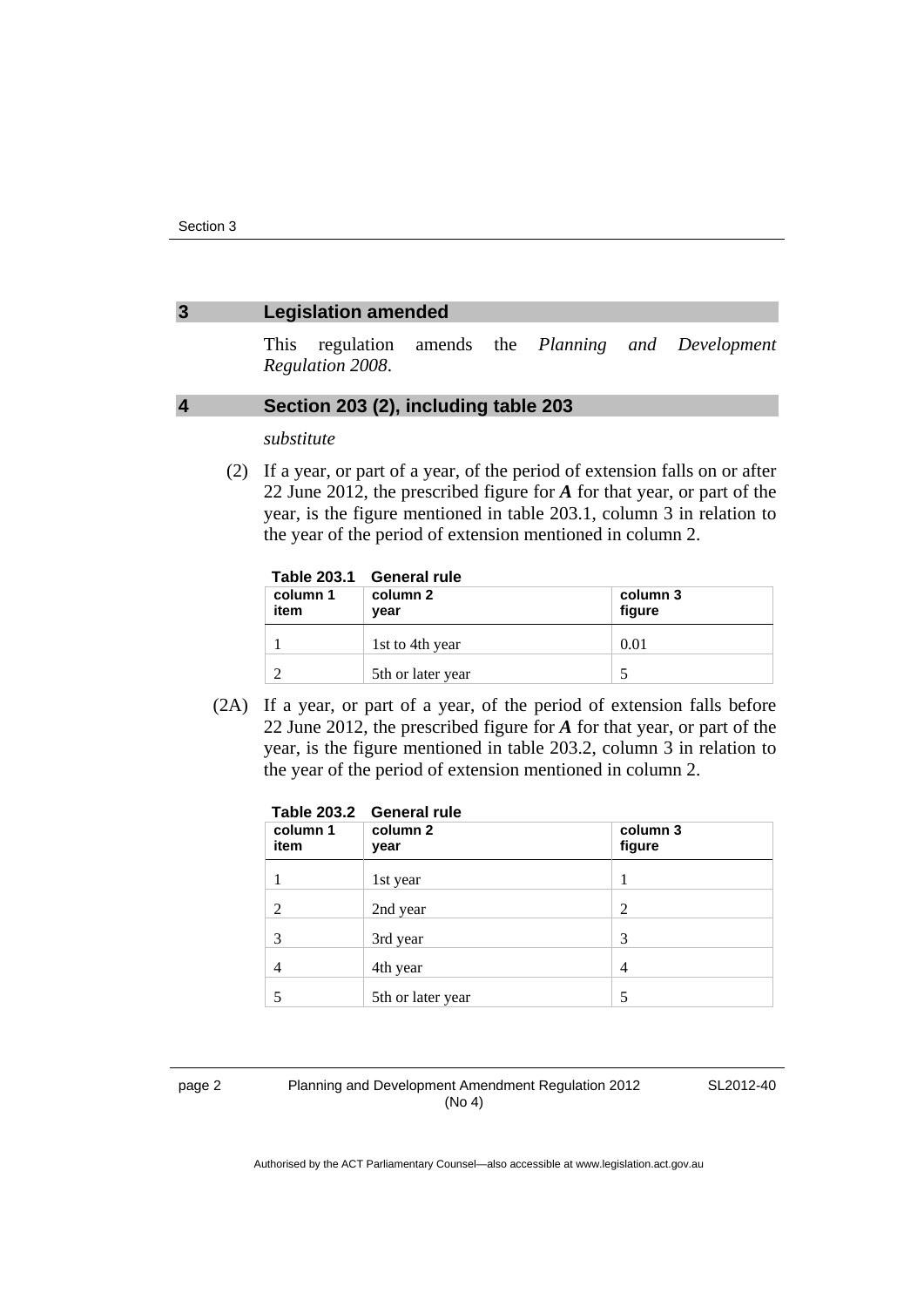#### **3 Legislation amended**

This regulation amends the *Planning and Development Regulation 2008*.

#### **4 Section 203 (2), including table 203**

*substitute* 

 (2) If a year, or part of a year, of the period of extension falls on or after 22 June 2012, the prescribed figure for *A* for that year, or part of the year, is the figure mentioned in table 203.1, column 3 in relation to the year of the period of extension mentioned in column 2.

|                  | Table 203.1 General rule |                    |
|------------------|--------------------------|--------------------|
| column 1<br>item | column 2<br>year         | column 3<br>figure |
|                  | 1st to 4th year          | 0.01               |
|                  | 5th or later year        |                    |

 (2A) If a year, or part of a year, of the period of extension falls before 22 June 2012, the prescribed figure for *A* for that year, or part of the year, is the figure mentioned in table 203.2, column 3 in relation to the year of the period of extension mentioned in column 2.

| column 1<br>item | Table 203.2 General rule<br>column 2<br>year | column 3<br>figure |
|------------------|----------------------------------------------|--------------------|
|                  | 1st year                                     |                    |
| 2                | 2nd year                                     | 2                  |
| 3                | 3rd year                                     | 3                  |
| 4                | 4th year                                     | 4                  |
|                  | 5th or later year                            | 5                  |

#### page 2 Planning and Development Amendment Regulation 2012 (No 4)

SL2012-40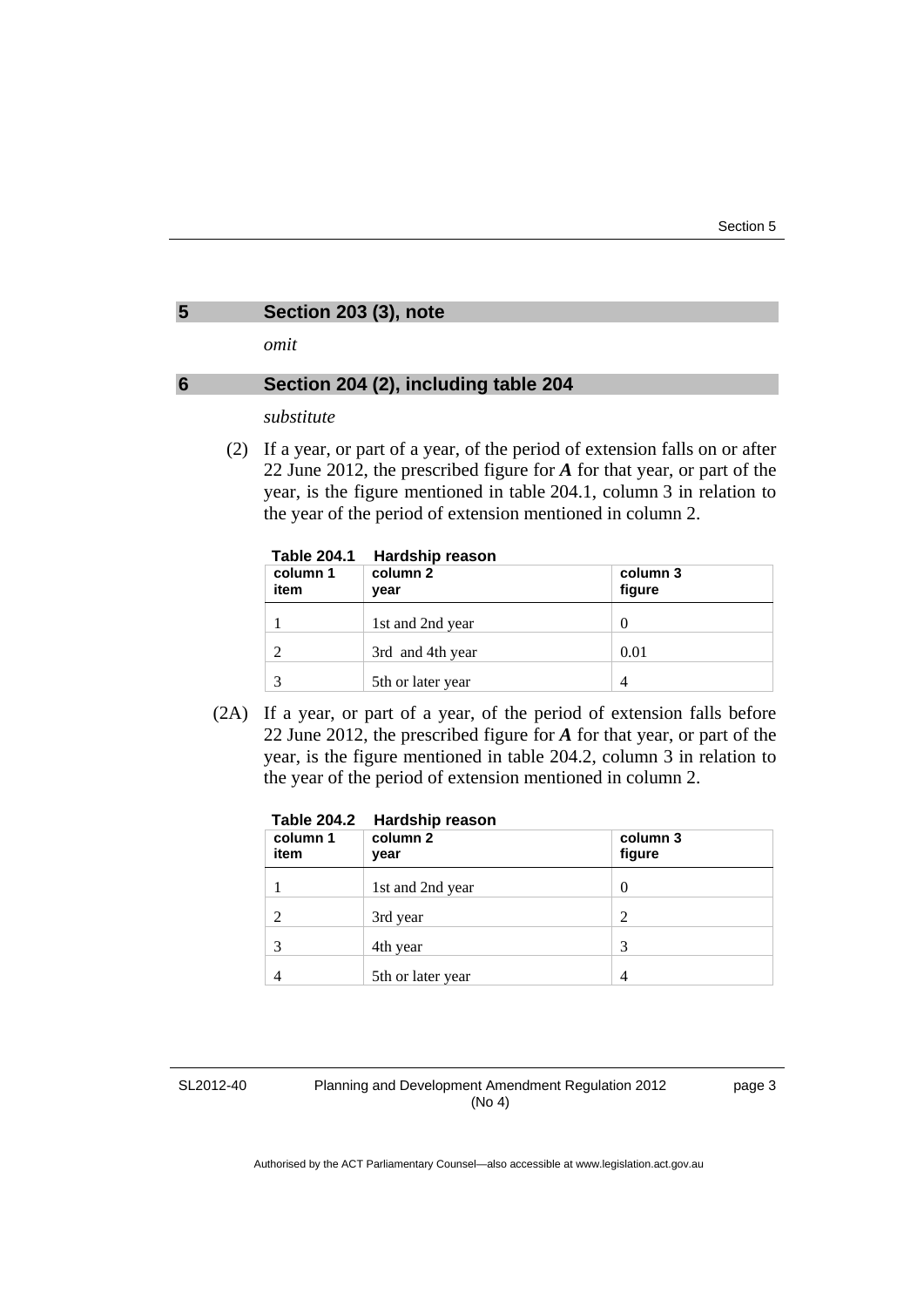### **5 Section 203 (3), note**

*omit* 

#### **6 Section 204 (2), including table 204**

*substitute* 

 (2) If a year, or part of a year, of the period of extension falls on or after 22 June 2012, the prescribed figure for *A* for that year, or part of the year, is the figure mentioned in table 204.1, column 3 in relation to the year of the period of extension mentioned in column 2.

| Table 204.1 | Hardship reason |
|-------------|-----------------|
|             |                 |

| 1 UNIV LVTI I<br>column 1<br>item | <b>TRIMANILLY LANDAIL</b><br>column 2<br>year | column 3<br>figure |
|-----------------------------------|-----------------------------------------------|--------------------|
|                                   | 1st and 2nd year                              | 0                  |
|                                   | 3rd and 4th year                              | 0.01               |
|                                   | 5th or later year                             | 4                  |

 (2A) If a year, or part of a year, of the period of extension falls before 22 June 2012, the prescribed figure for *A* for that year, or part of the year, is the figure mentioned in table 204.2, column 3 in relation to the year of the period of extension mentioned in column 2.

| <b>Table 204.2</b> | <b>Hardship reason</b> |                    |  |
|--------------------|------------------------|--------------------|--|
| column 1<br>item   | column 2<br>year       | column 3<br>figure |  |
|                    | 1st and 2nd year       | 0                  |  |
|                    | 3rd year               | 2                  |  |
| 3                  | 4th year               | 3                  |  |
|                    | 5th or later year      | 4                  |  |

SL2012-40

Planning and Development Amendment Regulation 2012 (No 4)

page 3